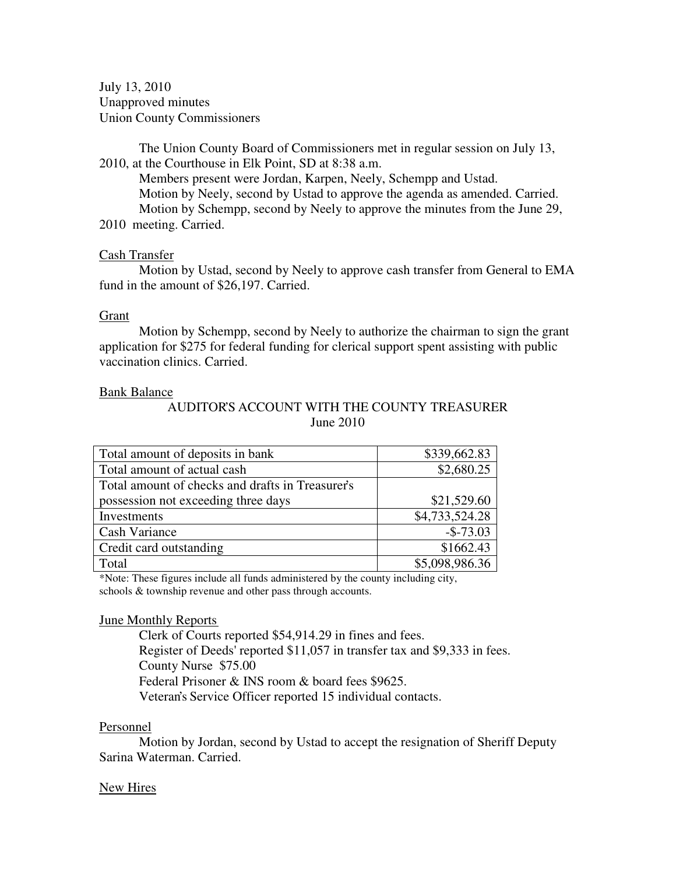July 13, 2010 Unapproved minutes Union County Commissioners

The Union County Board of Commissioners met in regular session on July 13, 2010, at the Courthouse in Elk Point, SD at 8:38 a.m.

 Members present were Jordan, Karpen, Neely, Schempp and Ustad. Motion by Neely, second by Ustad to approve the agenda as amended. Carried. Motion by Schempp, second by Neely to approve the minutes from the June 29, 2010 meeting. Carried.

## Cash Transfer

 Motion by Ustad, second by Neely to approve cash transfer from General to EMA fund in the amount of \$26,197. Carried.

# Grant

 Motion by Schempp, second by Neely to authorize the chairman to sign the grant application for \$275 for federal funding for clerical support spent assisting with public vaccination clinics. Carried.

# Bank Balance

# AUDITOR'S ACCOUNT WITH THE COUNTY TREASURER June 2010

| Total amount of deposits in bank                 | \$339,662.83   |
|--------------------------------------------------|----------------|
| Total amount of actual cash                      | \$2,680.25     |
| Total amount of checks and drafts in Treasurer's |                |
| possession not exceeding three days              | \$21,529.60    |
| Investments                                      | \$4,733,524.28 |
| Cash Variance                                    | $-$ \$-73.03   |
| Credit card outstanding                          | \$1662.43      |
| Total                                            | \$5,098,986.36 |

\*Note: These figures include all funds administered by the county including city, schools & township revenue and other pass through accounts.

## June Monthly Reports

 Clerk of Courts reported \$54,914.29 in fines and fees. Register of Deeds' reported \$11,057 in transfer tax and \$9,333 in fees. County Nurse \$75.00 Federal Prisoner & INS room & board fees \$9625. Veteran's Service Officer reported 15 individual contacts.

## Personnel

 Motion by Jordan, second by Ustad to accept the resignation of Sheriff Deputy Sarina Waterman. Carried.

# New Hires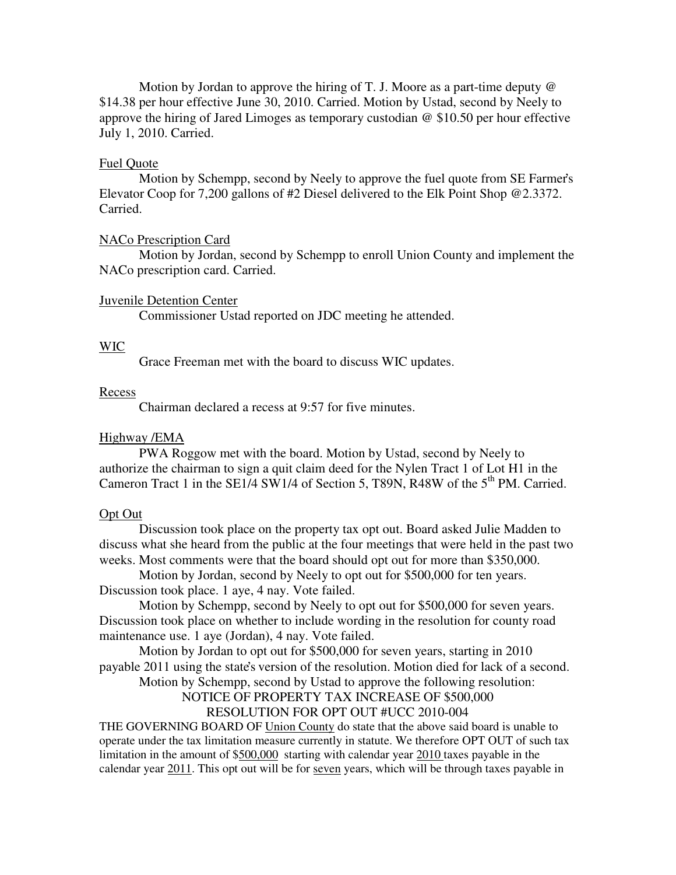Motion by Jordan to approve the hiring of T. J. Moore as a part-time deputy  $\omega$ \$14.38 per hour effective June 30, 2010. Carried. Motion by Ustad, second by Neely to approve the hiring of Jared Limoges as temporary custodian @ \$10.50 per hour effective July 1, 2010. Carried.

### Fuel Quote

 Motion by Schempp, second by Neely to approve the fuel quote from SE Farmer's Elevator Coop for 7,200 gallons of #2 Diesel delivered to the Elk Point Shop @2.3372. Carried.

#### NACo Prescription Card

 Motion by Jordan, second by Schempp to enroll Union County and implement the NACo prescription card. Carried.

#### Juvenile Detention Center

Commissioner Ustad reported on JDC meeting he attended.

# WIC

Grace Freeman met with the board to discuss WIC updates.

#### Recess

Chairman declared a recess at 9:57 for five minutes.

### Highway /EMA

 PWA Roggow met with the board. Motion by Ustad, second by Neely to authorize the chairman to sign a quit claim deed for the Nylen Tract 1 of Lot H1 in the Cameron Tract 1 in the SE1/4 SW1/4 of Section 5, T89N, R48W of the  $5<sup>th</sup>$  PM. Carried.

#### Opt Out

 Discussion took place on the property tax opt out. Board asked Julie Madden to discuss what she heard from the public at the four meetings that were held in the past two weeks. Most comments were that the board should opt out for more than \$350,000.

 Motion by Jordan, second by Neely to opt out for \$500,000 for ten years. Discussion took place. 1 aye, 4 nay. Vote failed.

 Motion by Schempp, second by Neely to opt out for \$500,000 for seven years. Discussion took place on whether to include wording in the resolution for county road maintenance use. 1 aye (Jordan), 4 nay. Vote failed.

 Motion by Jordan to opt out for \$500,000 for seven years, starting in 2010 payable 2011 using the state's version of the resolution. Motion died for lack of a second.

Motion by Schempp, second by Ustad to approve the following resolution:

NOTICE OF PROPERTY TAX INCREASE OF \$500,000

# RESOLUTION FOR OPT OUT #UCC 2010-004

THE GOVERNING BOARD OF Union County do state that the above said board is unable to operate under the tax limitation measure currently in statute. We therefore OPT OUT of such tax limitation in the amount of \$500,000 starting with calendar year 2010 taxes payable in the calendar year 2011. This opt out will be for seven years, which will be through taxes payable in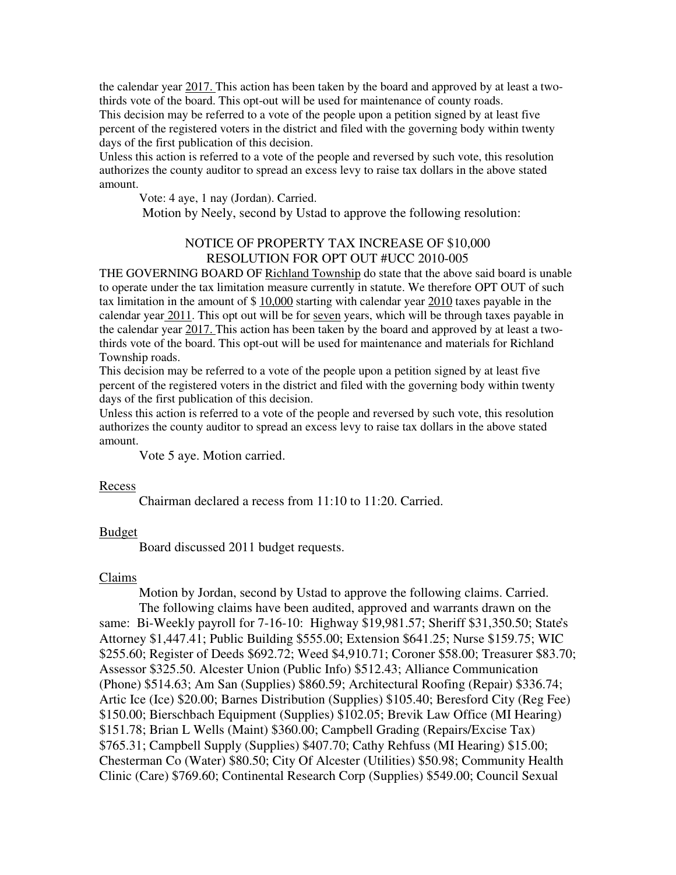the calendar year 2017. This action has been taken by the board and approved by at least a twothirds vote of the board. This opt-out will be used for maintenance of county roads. This decision may be referred to a vote of the people upon a petition signed by at least five percent of the registered voters in the district and filed with the governing body within twenty days of the first publication of this decision.

Unless this action is referred to a vote of the people and reversed by such vote, this resolution authorizes the county auditor to spread an excess levy to raise tax dollars in the above stated amount.

Vote: 4 aye, 1 nay (Jordan). Carried.

Motion by Neely, second by Ustad to approve the following resolution:

# NOTICE OF PROPERTY TAX INCREASE OF \$10,000 RESOLUTION FOR OPT OUT #UCC 2010-005

THE GOVERNING BOARD OF Richland Township do state that the above said board is unable to operate under the tax limitation measure currently in statute. We therefore OPT OUT of such tax limitation in the amount of  $$10,000$  starting with calendar year 2010 taxes payable in the calendar year 2011. This opt out will be for seven years, which will be through taxes payable in the calendar year 2017. This action has been taken by the board and approved by at least a twothirds vote of the board. This opt-out will be used for maintenance and materials for Richland Township roads.

This decision may be referred to a vote of the people upon a petition signed by at least five percent of the registered voters in the district and filed with the governing body within twenty days of the first publication of this decision.

Unless this action is referred to a vote of the people and reversed by such vote, this resolution authorizes the county auditor to spread an excess levy to raise tax dollars in the above stated amount.

Vote 5 aye. Motion carried.

#### Recess

Chairman declared a recess from 11:10 to 11:20. Carried.

## Budget

Board discussed 2011 budget requests.

## Claims

 Motion by Jordan, second by Ustad to approve the following claims. Carried. The following claims have been audited, approved and warrants drawn on the same: Bi-Weekly payroll for 7-16-10: Highway \$19,981.57; Sheriff \$31,350.50; State's Attorney \$1,447.41; Public Building \$555.00; Extension \$641.25; Nurse \$159.75; WIC \$255.60; Register of Deeds \$692.72; Weed \$4,910.71; Coroner \$58.00; Treasurer \$83.70; Assessor \$325.50. Alcester Union (Public Info) \$512.43; Alliance Communication (Phone) \$514.63; Am San (Supplies) \$860.59; Architectural Roofing (Repair) \$336.74; Artic Ice (Ice) \$20.00; Barnes Distribution (Supplies) \$105.40; Beresford City (Reg Fee) \$150.00; Bierschbach Equipment (Supplies) \$102.05; Brevik Law Office (MI Hearing) \$151.78; Brian L Wells (Maint) \$360.00; Campbell Grading (Repairs/Excise Tax) \$765.31; Campbell Supply (Supplies) \$407.70; Cathy Rehfuss (MI Hearing) \$15.00; Chesterman Co (Water) \$80.50; City Of Alcester (Utilities) \$50.98; Community Health Clinic (Care) \$769.60; Continental Research Corp (Supplies) \$549.00; Council Sexual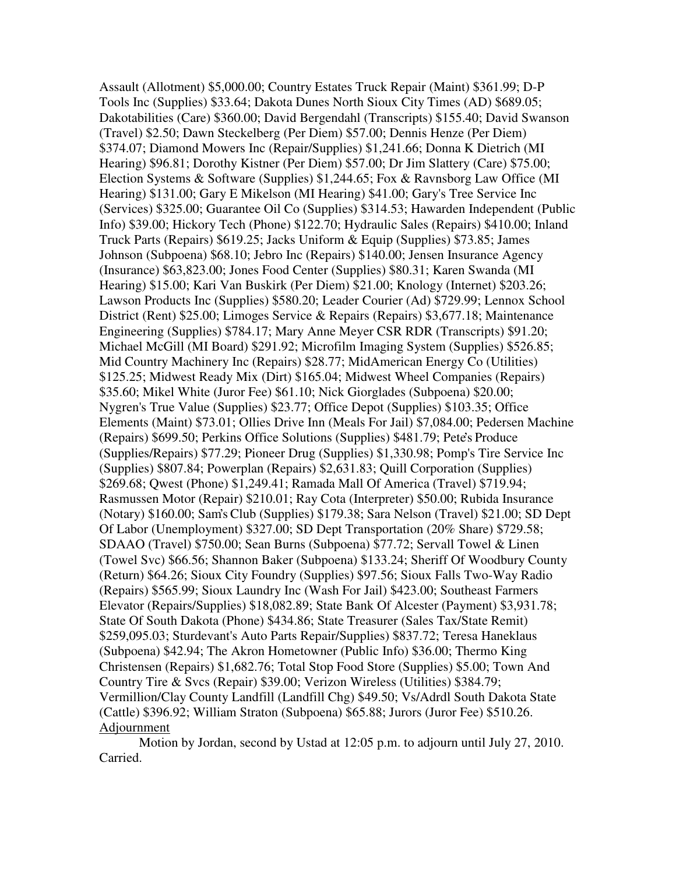Assault (Allotment) \$5,000.00; Country Estates Truck Repair (Maint) \$361.99; D-P Tools Inc (Supplies) \$33.64; Dakota Dunes North Sioux City Times (AD) \$689.05; Dakotabilities (Care) \$360.00; David Bergendahl (Transcripts) \$155.40; David Swanson (Travel) \$2.50; Dawn Steckelberg (Per Diem) \$57.00; Dennis Henze (Per Diem) \$374.07; Diamond Mowers Inc (Repair/Supplies) \$1,241.66; Donna K Dietrich (MI Hearing) \$96.81; Dorothy Kistner (Per Diem) \$57.00; Dr Jim Slattery (Care) \$75.00; Election Systems & Software (Supplies) \$1,244.65; Fox & Ravnsborg Law Office (MI Hearing) \$131.00; Gary E Mikelson (MI Hearing) \$41.00; Gary's Tree Service Inc (Services) \$325.00; Guarantee Oil Co (Supplies) \$314.53; Hawarden Independent (Public Info) \$39.00; Hickory Tech (Phone) \$122.70; Hydraulic Sales (Repairs) \$410.00; Inland Truck Parts (Repairs) \$619.25; Jacks Uniform & Equip (Supplies) \$73.85; James Johnson (Subpoena) \$68.10; Jebro Inc (Repairs) \$140.00; Jensen Insurance Agency (Insurance) \$63,823.00; Jones Food Center (Supplies) \$80.31; Karen Swanda (MI Hearing) \$15.00; Kari Van Buskirk (Per Diem) \$21.00; Knology (Internet) \$203.26; Lawson Products Inc (Supplies) \$580.20; Leader Courier (Ad) \$729.99; Lennox School District (Rent) \$25.00; Limoges Service & Repairs (Repairs) \$3,677.18; Maintenance Engineering (Supplies) \$784.17; Mary Anne Meyer CSR RDR (Transcripts) \$91.20; Michael McGill (MI Board) \$291.92; Microfilm Imaging System (Supplies) \$526.85; Mid Country Machinery Inc (Repairs) \$28.77; MidAmerican Energy Co (Utilities) \$125.25; Midwest Ready Mix (Dirt) \$165.04; Midwest Wheel Companies (Repairs) \$35.60; Mikel White (Juror Fee) \$61.10; Nick Giorglades (Subpoena) \$20.00; Nygren's True Value (Supplies) \$23.77; Office Depot (Supplies) \$103.35; Office Elements (Maint) \$73.01; Ollies Drive Inn (Meals For Jail) \$7,084.00; Pedersen Machine (Repairs) \$699.50; Perkins Office Solutions (Supplies) \$481.79; Pete's Produce (Supplies/Repairs) \$77.29; Pioneer Drug (Supplies) \$1,330.98; Pomp's Tire Service Inc (Supplies) \$807.84; Powerplan (Repairs) \$2,631.83; Quill Corporation (Supplies) \$269.68; Qwest (Phone) \$1,249.41; Ramada Mall Of America (Travel) \$719.94; Rasmussen Motor (Repair) \$210.01; Ray Cota (Interpreter) \$50.00; Rubida Insurance (Notary) \$160.00; Sam's Club (Supplies) \$179.38; Sara Nelson (Travel) \$21.00; SD Dept Of Labor (Unemployment) \$327.00; SD Dept Transportation (20% Share) \$729.58; SDAAO (Travel) \$750.00; Sean Burns (Subpoena) \$77.72; Servall Towel & Linen (Towel Svc) \$66.56; Shannon Baker (Subpoena) \$133.24; Sheriff Of Woodbury County (Return) \$64.26; Sioux City Foundry (Supplies) \$97.56; Sioux Falls Two-Way Radio (Repairs) \$565.99; Sioux Laundry Inc (Wash For Jail) \$423.00; Southeast Farmers Elevator (Repairs/Supplies) \$18,082.89; State Bank Of Alcester (Payment) \$3,931.78; State Of South Dakota (Phone) \$434.86; State Treasurer (Sales Tax/State Remit) \$259,095.03; Sturdevant's Auto Parts Repair/Supplies) \$837.72; Teresa Haneklaus (Subpoena) \$42.94; The Akron Hometowner (Public Info) \$36.00; Thermo King Christensen (Repairs) \$1,682.76; Total Stop Food Store (Supplies) \$5.00; Town And Country Tire & Svcs (Repair) \$39.00; Verizon Wireless (Utilities) \$384.79; Vermillion/Clay County Landfill (Landfill Chg) \$49.50; Vs/Adrdl South Dakota State (Cattle) \$396.92; William Straton (Subpoena) \$65.88; Jurors (Juror Fee) \$510.26. Adjournment

 Motion by Jordan, second by Ustad at 12:05 p.m. to adjourn until July 27, 2010. Carried.